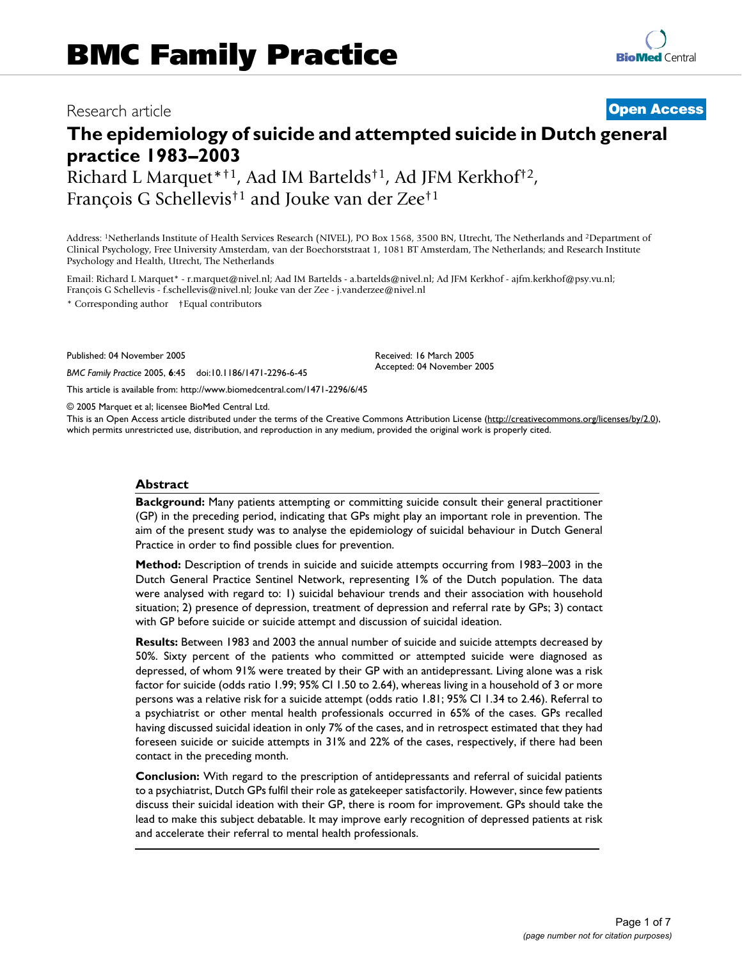## Research article **[Open Access](http://www.biomedcentral.com/info/about/charter/)**

# **The epidemiology of suicide and attempted suicide in Dutch general practice 1983–2003**

Richard L Marquet\*†1, Aad IM Bartelds†1, Ad JFM Kerkhof†2, François G Schellevis†1 and Jouke van der Zee†1

Address: 1Netherlands Institute of Health Services Research (NIVEL), PO Box 1568, 3500 BN, Utrecht, The Netherlands and 2Department of Clinical Psychology, Free University Amsterdam, van der Boechorststraat 1, 1081 BT Amsterdam, The Netherlands; and Research Institute Psychology and Health, Utrecht, The Netherlands

Email: Richard L Marquet\* - r.marquet@nivel.nl; Aad IM Bartelds - a.bartelds@nivel.nl; Ad JFM Kerkhof - ajfm.kerkhof@psy.vu.nl; François G Schellevis - f.schellevis@nivel.nl; Jouke van der Zee - j.vanderzee@nivel.nl

\* Corresponding author †Equal contributors

Published: 04 November 2005

*BMC Family Practice* 2005, **6**:45 doi:10.1186/1471-2296-6-45

[This article is available from: http://www.biomedcentral.com/1471-2296/6/45](http://www.biomedcentral.com/1471-2296/6/45)

© 2005 Marquet et al; licensee BioMed Central Ltd.

This is an Open Access article distributed under the terms of the Creative Commons Attribution License [\(http://creativecommons.org/licenses/by/2.0\)](http://creativecommons.org/licenses/by/2.0), which permits unrestricted use, distribution, and reproduction in any medium, provided the original work is properly cited.

Received: 16 March 2005 Accepted: 04 November 2005

#### **Abstract**

**Background:** Many patients attempting or committing suicide consult their general practitioner (GP) in the preceding period, indicating that GPs might play an important role in prevention. The aim of the present study was to analyse the epidemiology of suicidal behaviour in Dutch General Practice in order to find possible clues for prevention.

**Method:** Description of trends in suicide and suicide attempts occurring from 1983–2003 in the Dutch General Practice Sentinel Network, representing 1% of the Dutch population. The data were analysed with regard to: 1) suicidal behaviour trends and their association with household situation; 2) presence of depression, treatment of depression and referral rate by GPs; 3) contact with GP before suicide or suicide attempt and discussion of suicidal ideation.

**Results:** Between 1983 and 2003 the annual number of suicide and suicide attempts decreased by 50%. Sixty percent of the patients who committed or attempted suicide were diagnosed as depressed, of whom 91% were treated by their GP with an antidepressant. Living alone was a risk factor for suicide (odds ratio 1.99; 95% CI 1.50 to 2.64), whereas living in a household of 3 or more persons was a relative risk for a suicide attempt (odds ratio 1.81; 95% CI 1.34 to 2.46). Referral to a psychiatrist or other mental health professionals occurred in 65% of the cases. GPs recalled having discussed suicidal ideation in only 7% of the cases, and in retrospect estimated that they had foreseen suicide or suicide attempts in 31% and 22% of the cases, respectively, if there had been contact in the preceding month.

**Conclusion:** With regard to the prescription of antidepressants and referral of suicidal patients to a psychiatrist, Dutch GPs fulfil their role as gatekeeper satisfactorily. However, since few patients discuss their suicidal ideation with their GP, there is room for improvement. GPs should take the lead to make this subject debatable. It may improve early recognition of depressed patients at risk and accelerate their referral to mental health professionals.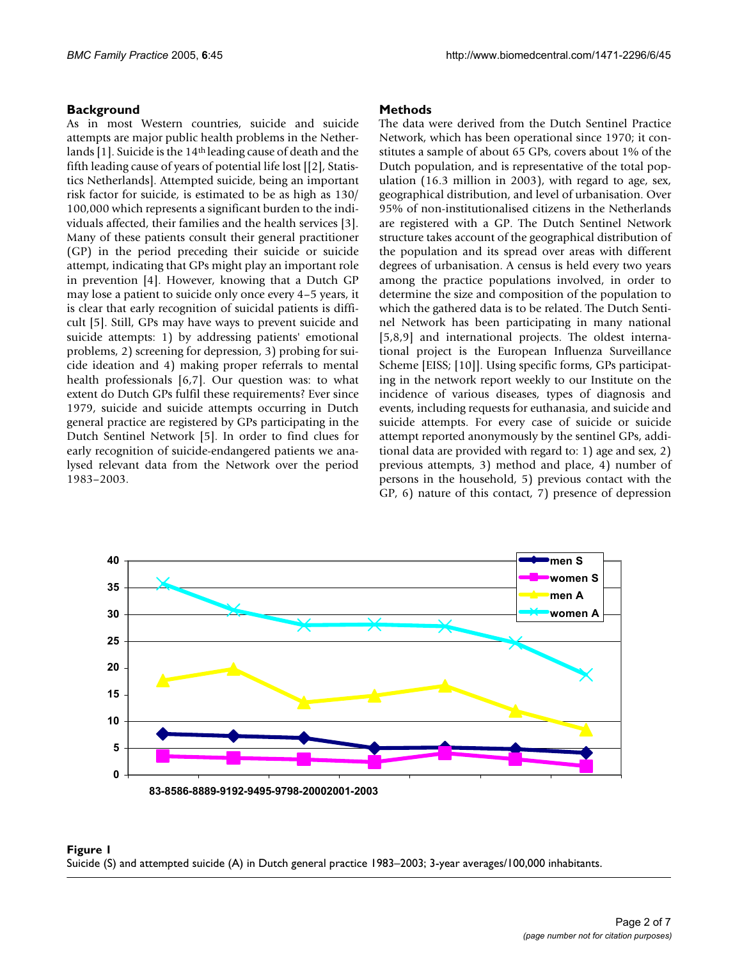### **Background**

As in most Western countries, suicide and suicide attempts are major public health problems in the Netherlands [1]. Suicide is the 14th leading cause of death and the fifth leading cause of years of potential life lost [[2], Statistics Netherlands]. Attempted suicide, being an important risk factor for suicide, is estimated to be as high as 130/ 100,000 which represents a significant burden to the individuals affected, their families and the health services [3]. Many of these patients consult their general practitioner (GP) in the period preceding their suicide or suicide attempt, indicating that GPs might play an important role in prevention [4]. However, knowing that a Dutch GP may lose a patient to suicide only once every 4–5 years, it is clear that early recognition of suicidal patients is difficult [5]. Still, GPs may have ways to prevent suicide and suicide attempts: 1) by addressing patients' emotional problems, 2) screening for depression, 3) probing for suicide ideation and 4) making proper referrals to mental health professionals [6,7]. Our question was: to what extent do Dutch GPs fulfil these requirements? Ever since 1979, suicide and suicide attempts occurring in Dutch general practice are registered by GPs participating in the Dutch Sentinel Network [5]. In order to find clues for early recognition of suicide-endangered patients we analysed relevant data from the Network over the period 1983–2003.

#### **Methods**

The data were derived from the Dutch Sentinel Practice Network, which has been operational since 1970; it constitutes a sample of about 65 GPs, covers about 1% of the Dutch population, and is representative of the total population (16.3 million in 2003), with regard to age, sex, geographical distribution, and level of urbanisation. Over 95% of non-institutionalised citizens in the Netherlands are registered with a GP. The Dutch Sentinel Network structure takes account of the geographical distribution of the population and its spread over areas with different degrees of urbanisation. A census is held every two years among the practice populations involved, in order to determine the size and composition of the population to which the gathered data is to be related. The Dutch Sentinel Network has been participating in many national [5,8,9] and international projects. The oldest international project is the European Influenza Surveillance Scheme [EISS; [10]]. Using specific forms, GPs participating in the network report weekly to our Institute on the incidence of various diseases, types of diagnosis and events, including requests for euthanasia, and suicide and suicide attempts. For every case of suicide or suicide attempt reported anonymously by the sentinel GPs, additional data are provided with regard to: 1) age and sex, 2) previous attempts, 3) method and place, 4) number of persons in the household, 5) previous contact with the GP, 6) nature of this contact, 7) presence of depression



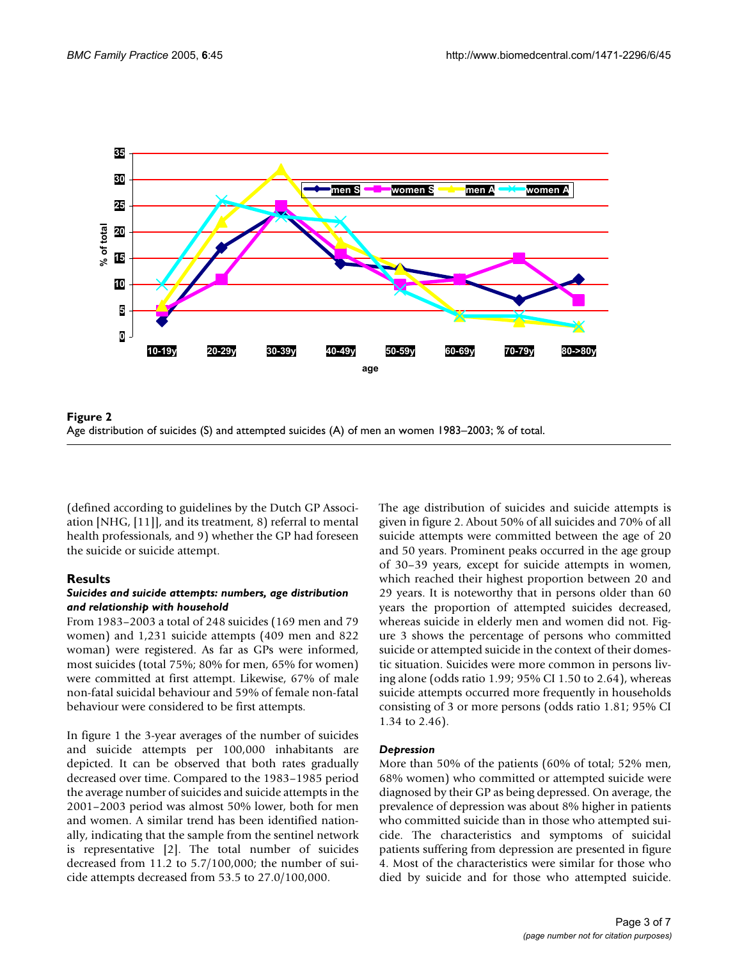

Age distribution of suicides (S) and attempted su **Figure 2** icides (A) of men an women 1983–2003; % of total Age distribution of suicides (S) and attempted suicides (A) of men an women 1983–2003; % of total.

(defined according to guidelines by the Dutch GP Association [NHG, [11]], and its treatment, 8) referral to mental health professionals, and 9) whether the GP had foreseen the suicide or suicide attempt.

### **Results**

#### *Suicides and suicide attempts: numbers, age distribution and relationship with household*

From 1983–2003 a total of 248 suicides (169 men and 79 women) and 1,231 suicide attempts (409 men and 822 woman) were registered. As far as GPs were informed, most suicides (total 75%; 80% for men, 65% for women) were committed at first attempt. Likewise, 67% of male non-fatal suicidal behaviour and 59% of female non-fatal behaviour were considered to be first attempts.

In figure 1 the 3-year averages of the number of suicides and suicide attempts per 100,000 inhabitants are depicted. It can be observed that both rates gradually decreased over time. Compared to the 1983–1985 period the average number of suicides and suicide attempts in the 2001–2003 period was almost 50% lower, both for men and women. A similar trend has been identified nationally, indicating that the sample from the sentinel network is representative [2]. The total number of suicides decreased from 11.2 to 5.7/100,000; the number of suicide attempts decreased from 53.5 to 27.0/100,000.

The age distribution of suicides and suicide attempts is given in figure 2. About 50% of all suicides and 70% of all suicide attempts were committed between the age of 20 and 50 years. Prominent peaks occurred in the age group of 30–39 years, except for suicide attempts in women, which reached their highest proportion between 20 and 29 years. It is noteworthy that in persons older than 60 years the proportion of attempted suicides decreased, whereas suicide in elderly men and women did not. Figure 3 shows the percentage of persons who committed suicide or attempted suicide in the context of their domestic situation. Suicides were more common in persons living alone (odds ratio 1.99; 95% CI 1.50 to 2.64), whereas suicide attempts occurred more frequently in households consisting of 3 or more persons (odds ratio 1.81; 95% CI 1.34 to 2.46).

#### *Depression*

More than 50% of the patients (60% of total; 52% men, 68% women) who committed or attempted suicide were diagnosed by their GP as being depressed. On average, the prevalence of depression was about 8% higher in patients who committed suicide than in those who attempted suicide. The characteristics and symptoms of suicidal patients suffering from depression are presented in figure 4. Most of the characteristics were similar for those who died by suicide and for those who attempted suicide.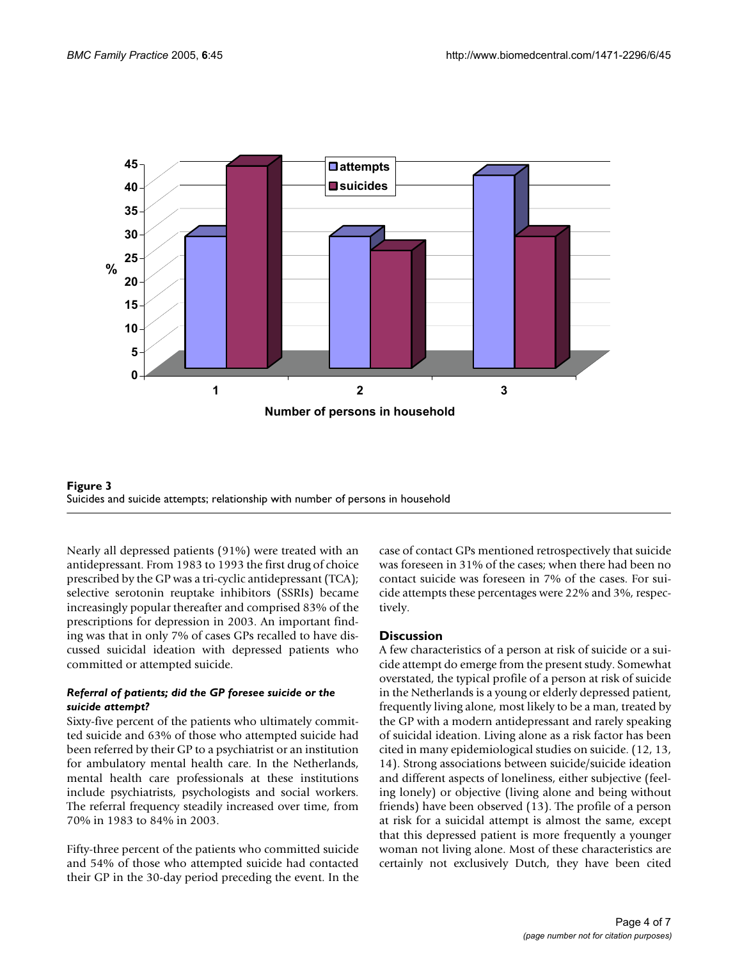



Nearly all depressed patients (91%) were treated with an antidepressant. From 1983 to 1993 the first drug of choice prescribed by the GP was a tri-cyclic antidepressant (TCA); selective serotonin reuptake inhibitors (SSRIs) became increasingly popular thereafter and comprised 83% of the prescriptions for depression in 2003. An important finding was that in only 7% of cases GPs recalled to have discussed suicidal ideation with depressed patients who committed or attempted suicide.

#### *Referral of patients; did the GP foresee suicide or the suicide attempt?*

Sixty-five percent of the patients who ultimately committed suicide and 63% of those who attempted suicide had been referred by their GP to a psychiatrist or an institution for ambulatory mental health care. In the Netherlands, mental health care professionals at these institutions include psychiatrists, psychologists and social workers. The referral frequency steadily increased over time, from 70% in 1983 to 84% in 2003.

Fifty-three percent of the patients who committed suicide and 54% of those who attempted suicide had contacted their GP in the 30-day period preceding the event. In the case of contact GPs mentioned retrospectively that suicide was foreseen in 31% of the cases; when there had been no contact suicide was foreseen in 7% of the cases. For suicide attempts these percentages were 22% and 3%, respectively.

### **Discussion**

A few characteristics of a person at risk of suicide or a suicide attempt do emerge from the present study. Somewhat overstated, the typical profile of a person at risk of suicide in the Netherlands is a young or elderly depressed patient, frequently living alone, most likely to be a man, treated by the GP with a modern antidepressant and rarely speaking of suicidal ideation. Living alone as a risk factor has been cited in many epidemiological studies on suicide. (12, 13, 14). Strong associations between suicide/suicide ideation and different aspects of loneliness, either subjective (feeling lonely) or objective (living alone and being without friends) have been observed (13). The profile of a person at risk for a suicidal attempt is almost the same, except that this depressed patient is more frequently a younger woman not living alone. Most of these characteristics are certainly not exclusively Dutch, they have been cited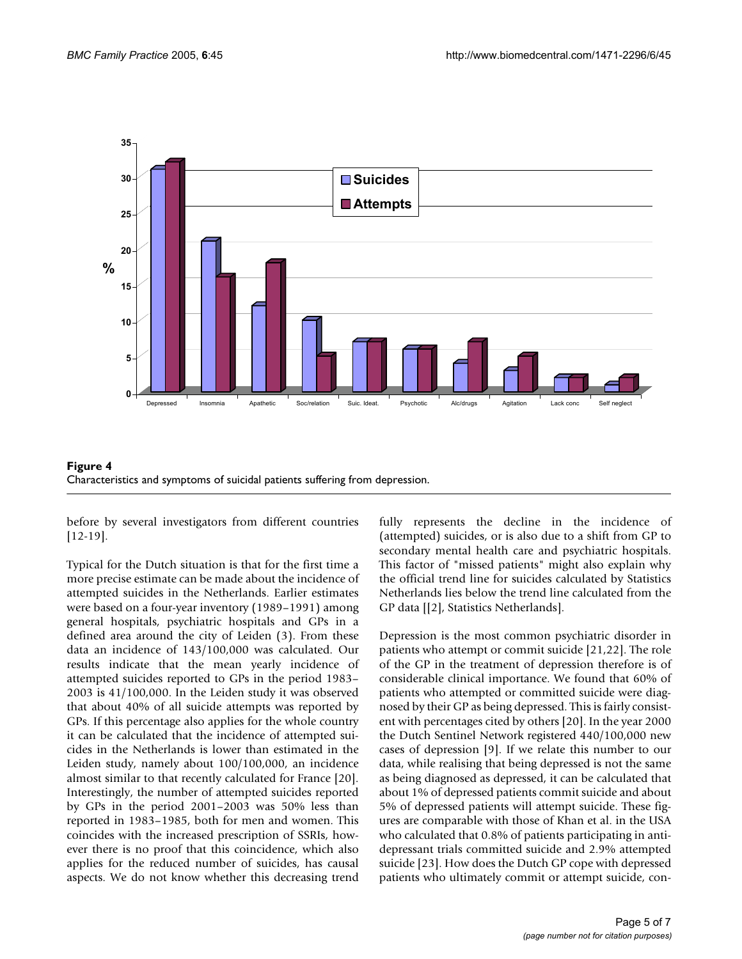

Figure 4 Characteristics and symptoms of suicidal patients suffering from depression.

before by several investigators from different countries [12-19].

Typical for the Dutch situation is that for the first time a more precise estimate can be made about the incidence of attempted suicides in the Netherlands. Earlier estimates were based on a four-year inventory (1989–1991) among general hospitals, psychiatric hospitals and GPs in a defined area around the city of Leiden (3). From these data an incidence of 143/100,000 was calculated. Our results indicate that the mean yearly incidence of attempted suicides reported to GPs in the period 1983– 2003 is 41/100,000. In the Leiden study it was observed that about 40% of all suicide attempts was reported by GPs. If this percentage also applies for the whole country it can be calculated that the incidence of attempted suicides in the Netherlands is lower than estimated in the Leiden study, namely about 100/100,000, an incidence almost similar to that recently calculated for France [20]. Interestingly, the number of attempted suicides reported by GPs in the period 2001–2003 was 50% less than reported in 1983–1985, both for men and women. This coincides with the increased prescription of SSRIs, however there is no proof that this coincidence, which also applies for the reduced number of suicides, has causal aspects. We do not know whether this decreasing trend

fully represents the decline in the incidence of (attempted) suicides, or is also due to a shift from GP to secondary mental health care and psychiatric hospitals. This factor of "missed patients" might also explain why the official trend line for suicides calculated by Statistics Netherlands lies below the trend line calculated from the GP data [[2], Statistics Netherlands].

Depression is the most common psychiatric disorder in patients who attempt or commit suicide [21,22]. The role of the GP in the treatment of depression therefore is of considerable clinical importance. We found that 60% of patients who attempted or committed suicide were diagnosed by their GP as being depressed. This is fairly consistent with percentages cited by others [20]. In the year 2000 the Dutch Sentinel Network registered 440/100,000 new cases of depression [9]. If we relate this number to our data, while realising that being depressed is not the same as being diagnosed as depressed, it can be calculated that about 1% of depressed patients commit suicide and about 5% of depressed patients will attempt suicide. These figures are comparable with those of Khan et al. in the USA who calculated that 0.8% of patients participating in antidepressant trials committed suicide and 2.9% attempted suicide [23]. How does the Dutch GP cope with depressed patients who ultimately commit or attempt suicide, con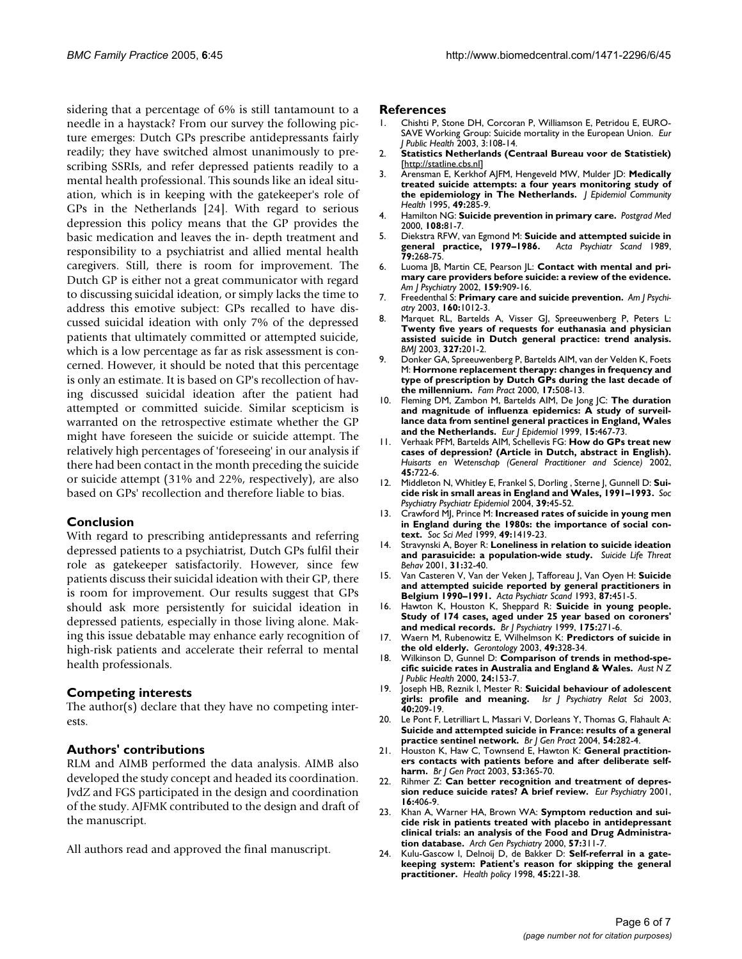sidering that a percentage of 6% is still tantamount to a needle in a haystack? From our survey the following picture emerges: Dutch GPs prescribe antidepressants fairly readily; they have switched almost unanimously to prescribing SSRIs, and refer depressed patients readily to a mental health professional. This sounds like an ideal situation, which is in keeping with the gatekeeper's role of GPs in the Netherlands [24]. With regard to serious depression this policy means that the GP provides the basic medication and leaves the in- depth treatment and responsibility to a psychiatrist and allied mental health caregivers. Still, there is room for improvement. The Dutch GP is either not a great communicator with regard to discussing suicidal ideation, or simply lacks the time to address this emotive subject: GPs recalled to have discussed suicidal ideation with only 7% of the depressed patients that ultimately committed or attempted suicide, which is a low percentage as far as risk assessment is concerned. However, it should be noted that this percentage is only an estimate. It is based on GP's recollection of having discussed suicidal ideation after the patient had attempted or committed suicide. Similar scepticism is warranted on the retrospective estimate whether the GP might have foreseen the suicide or suicide attempt. The relatively high percentages of 'foreseeing' in our analysis if there had been contact in the month preceding the suicide or suicide attempt (31% and 22%, respectively), are also based on GPs' recollection and therefore liable to bias.

### **Conclusion**

With regard to prescribing antidepressants and referring depressed patients to a psychiatrist, Dutch GPs fulfil their role as gatekeeper satisfactorily. However, since few patients discuss their suicidal ideation with their GP, there is room for improvement. Our results suggest that GPs should ask more persistently for suicidal ideation in depressed patients, especially in those living alone. Making this issue debatable may enhance early recognition of high-risk patients and accelerate their referral to mental health professionals.

### **Competing interests**

The author(s) declare that they have no competing interests.

### **Authors' contributions**

RLM and AIMB performed the data analysis. AIMB also developed the study concept and headed its coordination. JvdZ and FGS participated in the design and coordination of the study. AJFMK contributed to the design and draft of the manuscript.

All authors read and approved the final manuscript.

#### **References**

- 1. Chishti P, Stone DH, Corcoran P, Williamson E, Petridou E, EURO-SAVE Working Group: Suicide mortality in the European Union. *Eur J Public Health* 2003, 3:108-14.
- 2. **Statistics Netherlands (Centraal Bureau voor de Statistiek)** [<http://statline.cbs.nl>]
- 3. Arensman E, Kerkhof AJFM, Hengeveld MW, Mulder JD: **[Medically](http://www.ncbi.nlm.nih.gov/entrez/query.fcgi?cmd=Retrieve&db=PubMed&dopt=Abstract&list_uids=7629465) [treated suicide attempts: a four years monitoring study of](http://www.ncbi.nlm.nih.gov/entrez/query.fcgi?cmd=Retrieve&db=PubMed&dopt=Abstract&list_uids=7629465) [the epidemiology in The Netherlands.](http://www.ncbi.nlm.nih.gov/entrez/query.fcgi?cmd=Retrieve&db=PubMed&dopt=Abstract&list_uids=7629465)** *J Epidemiol Community Health* 1995, **49:**285-9.
- 4. Hamilton NG: **[Suicide prevention in primary care.](http://www.ncbi.nlm.nih.gov/entrez/query.fcgi?cmd=Retrieve&db=PubMed&dopt=Abstract&list_uids=11098260)** *Postgrad Med* 2000, **108:**81-7.
- 5. Diekstra RFW, van Egmond M: **[Suicide and attempted suicide in](http://www.ncbi.nlm.nih.gov/entrez/query.fcgi?cmd=Retrieve&db=PubMed&dopt=Abstract&list_uids=2711854) [general practice, 1979–1986.](http://www.ncbi.nlm.nih.gov/entrez/query.fcgi?cmd=Retrieve&db=PubMed&dopt=Abstract&list_uids=2711854)** *Acta Psychiatr Scand* 1989, **79:**268-75.
- 6. Luoma JB, Martin CE, Pearson JL: **[Contact with mental and pri](http://www.ncbi.nlm.nih.gov/entrez/query.fcgi?cmd=Retrieve&db=PubMed&dopt=Abstract&list_uids=12042175)[mary care providers before suicide: a review of the evidence.](http://www.ncbi.nlm.nih.gov/entrez/query.fcgi?cmd=Retrieve&db=PubMed&dopt=Abstract&list_uids=12042175)** *Am J Psychiatry* 2002, **159:**909-16.
- 7. Freedenthal S: **[Primary care and suicide prevention.](http://www.ncbi.nlm.nih.gov/entrez/query.fcgi?cmd=Retrieve&db=PubMed&dopt=Abstract&list_uids=12727716)** *Am J Psychiatry* 2003, **160:**1012-3.
- 8. Marquet RL, Bartelds A, Visser GJ, Spreeuwenberg P, Peters L: **Twenty five years of requests for euthanasia and physician [assisted suicide in Dutch general practice: trend analysis.](http://www.ncbi.nlm.nih.gov/entrez/query.fcgi?cmd=Retrieve&db=PubMed&dopt=Abstract&list_uids=12881262)** *BMJ* 2003, **327:**201-2.
- 9. Donker GA, Spreeuwenberg P, Bartelds AIM, van der Velden K, Foets M: **[Hormone replacement therapy: changes in frequency and](http://www.ncbi.nlm.nih.gov/entrez/query.fcgi?cmd=Retrieve&db=PubMed&dopt=Abstract&list_uids=11120723) [type of prescription by Dutch GPs during the last decade of](http://www.ncbi.nlm.nih.gov/entrez/query.fcgi?cmd=Retrieve&db=PubMed&dopt=Abstract&list_uids=11120723) [the millennium.](http://www.ncbi.nlm.nih.gov/entrez/query.fcgi?cmd=Retrieve&db=PubMed&dopt=Abstract&list_uids=11120723)** *Fam Pract* 2000, **17:**508-13.
- 10. Fleming DM, Zambon M, Bartelds AIM, De Jong JC: **[The duration](http://www.ncbi.nlm.nih.gov/entrez/query.fcgi?cmd=Retrieve&db=PubMed&dopt=Abstract&list_uids=10442473) and magnitude of influenza epidemics: A study of surveil[lance data from sentinel general practices in England, Wales](http://www.ncbi.nlm.nih.gov/entrez/query.fcgi?cmd=Retrieve&db=PubMed&dopt=Abstract&list_uids=10442473) [and the Netherlands.](http://www.ncbi.nlm.nih.gov/entrez/query.fcgi?cmd=Retrieve&db=PubMed&dopt=Abstract&list_uids=10442473)** *Eur J Epidemiol* 1999, **15:**467-73.
- 11. Verhaak PFM, Bartelds AIM, Schellevis FG: **How do GPs treat new cases of depression? (Article in Dutch, abstract in English).** *Huisarts en Wetenschap (General Practitioner and Science)* 2002, **45:**722-6.
- 12. Middleton N, Whitley E, Frankel S, Dorling , Sterne J, Gunnell D: **[Sui](http://www.ncbi.nlm.nih.gov/entrez/query.fcgi?cmd=Retrieve&db=PubMed&dopt=Abstract&list_uids=15022046)[cide risk in small areas in England and Wales, 1991–1993.](http://www.ncbi.nlm.nih.gov/entrez/query.fcgi?cmd=Retrieve&db=PubMed&dopt=Abstract&list_uids=15022046)** *Soc Psychiatry Psychiatr Epidemiol* 2004, **39:**45-52.
- 13. Crawford MJ, Prince M: **[Increased rates of suicide in young men](http://www.ncbi.nlm.nih.gov/entrez/query.fcgi?cmd=Retrieve&db=PubMed&dopt=Abstract&list_uids=10509831) [in England during the 1980s: the importance of social con](http://www.ncbi.nlm.nih.gov/entrez/query.fcgi?cmd=Retrieve&db=PubMed&dopt=Abstract&list_uids=10509831)[text.](http://www.ncbi.nlm.nih.gov/entrez/query.fcgi?cmd=Retrieve&db=PubMed&dopt=Abstract&list_uids=10509831)** *Soc Sci Med* 1999, **49:**1419-23.
- 14. Stravynski A, Boyer R: **[Loneliness in relation to suicide ideation](http://www.ncbi.nlm.nih.gov/entrez/query.fcgi?cmd=Retrieve&db=PubMed&dopt=Abstract&list_uids=11326767) [and parasuicide: a population-wide study.](http://www.ncbi.nlm.nih.gov/entrez/query.fcgi?cmd=Retrieve&db=PubMed&dopt=Abstract&list_uids=11326767)** *Suicide Life Threat Behav* 2001, **31:**32-40.
- 15. Van Casteren V, Van der Veken J, Tafforeau J, Van Oyen H: **[Suicide](http://www.ncbi.nlm.nih.gov/entrez/query.fcgi?cmd=Retrieve&db=PubMed&dopt=Abstract&list_uids=8356898) [and attempted suicide reported by general practitioners in](http://www.ncbi.nlm.nih.gov/entrez/query.fcgi?cmd=Retrieve&db=PubMed&dopt=Abstract&list_uids=8356898) [Belgium 1990–1991.](http://www.ncbi.nlm.nih.gov/entrez/query.fcgi?cmd=Retrieve&db=PubMed&dopt=Abstract&list_uids=8356898)** *Acta Psychiatr Scand* 1993, **87:**451-5.
- 16. Hawton K, Houston K, Sheppard R: **[Suicide in young people.](http://www.ncbi.nlm.nih.gov/entrez/query.fcgi?cmd=Retrieve&db=PubMed&dopt=Abstract&list_uids=10645330) [Study of 174 cases, aged under 25 year based on coroners'](http://www.ncbi.nlm.nih.gov/entrez/query.fcgi?cmd=Retrieve&db=PubMed&dopt=Abstract&list_uids=10645330) [and medical records.](http://www.ncbi.nlm.nih.gov/entrez/query.fcgi?cmd=Retrieve&db=PubMed&dopt=Abstract&list_uids=10645330)** *Br J Psychiatry* 1999, **175:**271-6.
- 17. Waern M, Rubenowitz E, Wilhelmson K: **[Predictors of suicide in](http://www.ncbi.nlm.nih.gov/entrez/query.fcgi?cmd=Retrieve&db=PubMed&dopt=Abstract&list_uids=12920354) [the old elderly.](http://www.ncbi.nlm.nih.gov/entrez/query.fcgi?cmd=Retrieve&db=PubMed&dopt=Abstract&list_uids=12920354)** *Gerontology* 2003, **49:**328-34.
- 18. Wilkinson D, Gunnel D: **[Comparison of trends in method-spe](http://www.ncbi.nlm.nih.gov/entrez/query.fcgi?cmd=Retrieve&db=PubMed&dopt=Abstract&list_uids=10790934)[cific suicide rates in Australia and England & Wales.](http://www.ncbi.nlm.nih.gov/entrez/query.fcgi?cmd=Retrieve&db=PubMed&dopt=Abstract&list_uids=10790934)** *Aust N Z J Public Health* 2000, **24:**153-7.
- 19. Joseph HB, Reznik I, Mester R: **[Suicidal behaviour of adolescent](http://www.ncbi.nlm.nih.gov/entrez/query.fcgi?cmd=Retrieve&db=PubMed&dopt=Abstract&list_uids=14619680) [girls: profile and meaning.](http://www.ncbi.nlm.nih.gov/entrez/query.fcgi?cmd=Retrieve&db=PubMed&dopt=Abstract&list_uids=14619680)** *Isr J Psychiatry Relat Sci* 2003, **40:**209-19.
- 20. Le Pont F, Letrilliart L, Massari V, Dorleans Y, Thomas G, Flahault A: **[Suicide and attempted suicide in France: results of a general](http://www.ncbi.nlm.nih.gov/entrez/query.fcgi?cmd=Retrieve&db=PubMed&dopt=Abstract&list_uids=15113496) [practice sentinel network.](http://www.ncbi.nlm.nih.gov/entrez/query.fcgi?cmd=Retrieve&db=PubMed&dopt=Abstract&list_uids=15113496)** *Br J Gen Pract* 2004, **54:**282-4.
- 21. Houston K, Haw C, Townsend E, Hawton K: **[General practition](http://www.ncbi.nlm.nih.gov/entrez/query.fcgi?cmd=Retrieve&db=PubMed&dopt=Abstract&list_uids=12830563)[ers contacts with patients before and after deliberate self](http://www.ncbi.nlm.nih.gov/entrez/query.fcgi?cmd=Retrieve&db=PubMed&dopt=Abstract&list_uids=12830563)[harm.](http://www.ncbi.nlm.nih.gov/entrez/query.fcgi?cmd=Retrieve&db=PubMed&dopt=Abstract&list_uids=12830563)** *Br J Gen Pract* 2003, **53:**365-70.
- 22. Rihmer Z: **[Can better recognition and treatment of depres](http://www.ncbi.nlm.nih.gov/entrez/query.fcgi?cmd=Retrieve&db=PubMed&dopt=Abstract&list_uids=11728853)[sion reduce suicide rates? A brief review.](http://www.ncbi.nlm.nih.gov/entrez/query.fcgi?cmd=Retrieve&db=PubMed&dopt=Abstract&list_uids=11728853)** *Eur Psychiatry* 2001, **16:**406-9.
- 23. Khan A, Warner HA, Brown WA: **[Symptom reduction and sui](http://www.ncbi.nlm.nih.gov/entrez/query.fcgi?cmd=Retrieve&db=PubMed&dopt=Abstract&list_uids=10768687)cide risk in patients treated with placebo in antidepressant [clinical trials: an analysis of the Food and Drug Administra](http://www.ncbi.nlm.nih.gov/entrez/query.fcgi?cmd=Retrieve&db=PubMed&dopt=Abstract&list_uids=10768687)[tion database.](http://www.ncbi.nlm.nih.gov/entrez/query.fcgi?cmd=Retrieve&db=PubMed&dopt=Abstract&list_uids=10768687)** *Arch Gen Psychiatry* 2000, **57:**311-7.
- Kulu-Gascow I, Delnoij D, de Bakker D: [Self-referral in a gate](http://www.ncbi.nlm.nih.gov/entrez/query.fcgi?cmd=Retrieve&db=PubMed&dopt=Abstract&list_uids=10338953)**[keeping system: Patient's reason for skipping the general](http://www.ncbi.nlm.nih.gov/entrez/query.fcgi?cmd=Retrieve&db=PubMed&dopt=Abstract&list_uids=10338953) [practitioner.](http://www.ncbi.nlm.nih.gov/entrez/query.fcgi?cmd=Retrieve&db=PubMed&dopt=Abstract&list_uids=10338953)** *Health policy* 1998, **45:**221-38.